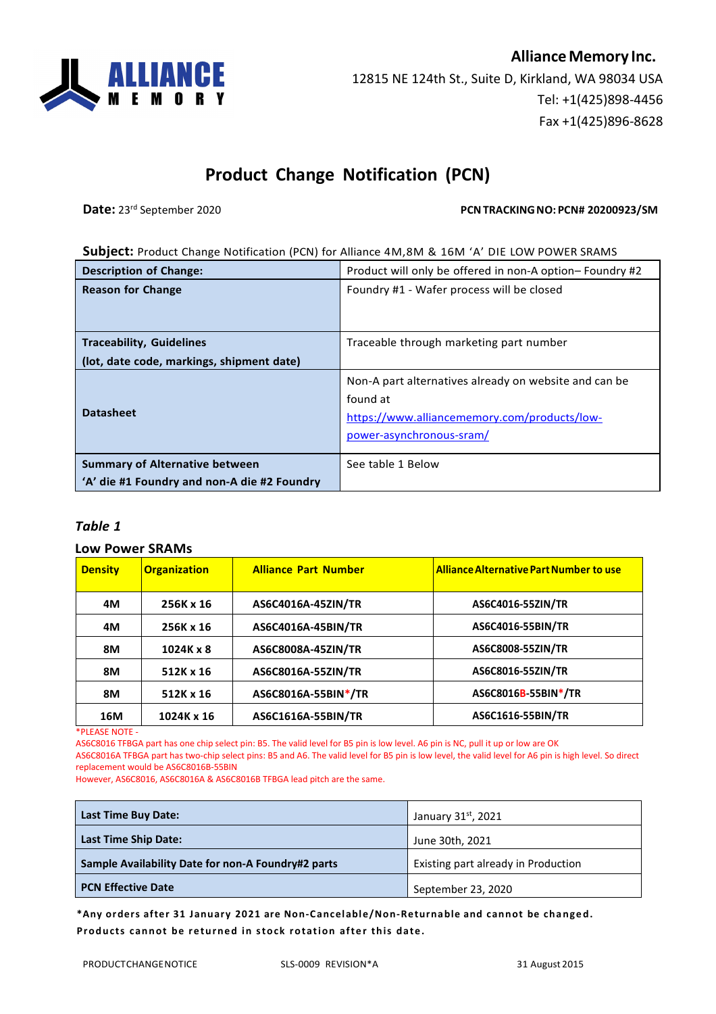**AllianceMemory Inc.** 12815 NE 124th St., Suite D, Kirkland, WA 98034 USA Tel: +1(425)898-4456 Fax +1(425)896-8628

## **Product Change Notification (PCN)**

**Date:** 23<sup>rd</sup> September 2020 **PCNTRACKING NO: PCN# 20200923/SM** 

## **Subject:** Product Change Notification (PCN) for Alliance 4M,8M & 16M 'A' DIE LOW POWER SRAMS

| <b>Description of Change:</b>                                                        | Product will only be offered in non-A option-Foundry #2                                                                                       |  |
|--------------------------------------------------------------------------------------|-----------------------------------------------------------------------------------------------------------------------------------------------|--|
| <b>Reason for Change</b>                                                             | Foundry #1 - Wafer process will be closed                                                                                                     |  |
|                                                                                      |                                                                                                                                               |  |
| <b>Traceability, Guidelines</b>                                                      | Traceable through marketing part number                                                                                                       |  |
| (lot, date code, markings, shipment date)                                            |                                                                                                                                               |  |
| <b>Datasheet</b>                                                                     | Non-A part alternatives already on website and can be<br>found at<br>https://www.alliancememory.com/products/low-<br>power-asynchronous-sram/ |  |
| <b>Summary of Alternative between</b><br>'A' die #1 Foundry and non-A die #2 Foundry | See table 1 Below                                                                                                                             |  |

## *Table 1*

## **Low Power SRAMs**

| <b>Density</b> | <b>Organization</b> | <b>Alliance Part Number</b> | <b>Alliance Alternative Part Number to use</b> |
|----------------|---------------------|-----------------------------|------------------------------------------------|
| 4M             | 256K x 16           | AS6C4016A-45ZIN/TR          | AS6C4016-55ZIN/TR                              |
| 4M             | 256K x 16           | AS6C4016A-45BIN/TR          | AS6C4016-55BIN/TR                              |
| 8M             | 1024K x 8           | AS6C8008A-45ZIN/TR          | AS6C8008-55ZIN/TR                              |
| 8M             | 512K x 16           | AS6C8016A-55ZIN/TR          | AS6C8016-55ZIN/TR                              |
| <b>8M</b>      | 512K x 16           | AS6C8016A-55BIN*/TR         | AS6C8016B-55BIN*/TR                            |
| 16M            | 1024K x 16          | AS6C1616A-55BIN/TR          | AS6C1616-55BIN/TR                              |

\*PLEASE NOTE -

AS6C8016 TFBGA part has one chip select pin: B5. The valid level for B5 pin is low level. A6 pin is NC, pull it up or low are OK

AS6C8016A TFBGA part has two-chip select pins: B5 and A6. The valid level for B5 pin is low level, the valid level for A6 pin is high level. So direct replacement would be AS6C8016B-55BIN

However, AS6C8016, AS6C8016A & AS6C8016B TFBGA lead pitch are the same.

| Last Time Buy Date:                                | January 31st, 2021                  |
|----------------------------------------------------|-------------------------------------|
| <b>Last Time Ship Date:</b>                        | June 30th, 2021                     |
| Sample Availability Date for non-A Foundry#2 parts | Existing part already in Production |
| <b>PCN Effective Date</b>                          | September 23, 2020                  |

**\*Any orders after 31 January 2021 are Non-Cancelable/Non-Returnable and cannot be changed. Products cannot be returned in stock rotation after this date.**